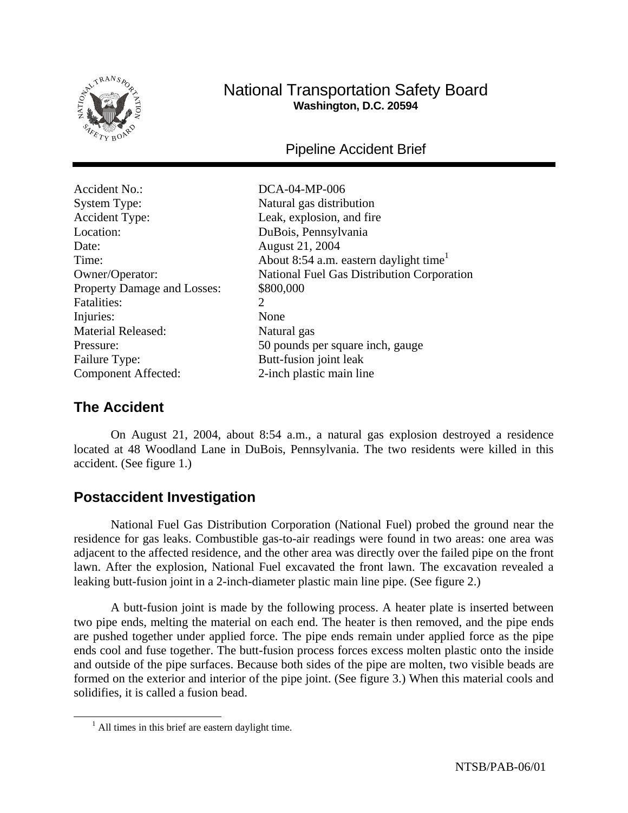

# National Transportation Safety Board **Washington, D.C. 20594**

Pipeline Accident Brief

Accident No.: DCA-04-MP-006 System Type: Natural gas distribution Accident Type: Leak, explosion, and fire Location: DuBois, Pennsylvania Date: August 21, 2004 Property Damage and Losses:  $$800,000$ Fatalities: 2 Injuries: None Material Released: Natural gas Failure Type: Butt-fusion joint leak Component Affected: 2-inch plastic main line

Time:  $\Delta$  About 8:54 a.m. eastern daylight time<sup>1</sup> Owner/Operator: National Fuel Gas Distribution Corporation Pressure: 50 pounds per square inch, gauge

# **The Accident**

On August 21, 2004, about 8:54 a.m., a natural gas explosion destroyed a residence located at 48 Woodland Lane in DuBois, Pennsylvania. The two residents were killed in this accident. (See figure 1.)

# **Postaccident Investigation**

National Fuel Gas Distribution Corporation (National Fuel) probed the ground near the residence for gas leaks. Combustible gas-to-air readings were found in two areas: one area was adjacent to the affected residence, and the other area was directly over the failed pipe on the front lawn. After the explosion, National Fuel excavated the front lawn. The excavation revealed a leaking butt-fusion joint in a 2-inch-diameter plastic main line pipe. (See figure 2.)

A butt-fusion joint is made by the following process. A heater plate is inserted between two pipe ends, melting the material on each end. The heater is then removed, and the pipe ends are pushed together under applied force. The pipe ends remain under applied force as the pipe ends cool and fuse together. The butt-fusion process forces excess molten plastic onto the inside and outside of the pipe surfaces. Because both sides of the pipe are molten, two visible beads are formed on the exterior and interior of the pipe joint. (See figure 3.) When this material cools and solidifies, it is called a fusion bead.

 <sup>1</sup>  $<sup>1</sup>$  All times in this brief are eastern daylight time.</sup>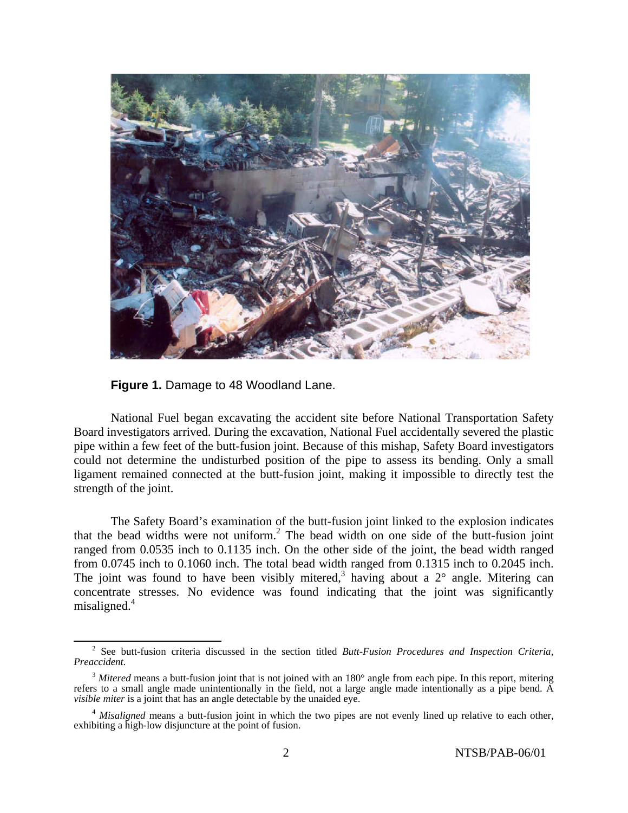

**Figure 1.** Damage to 48 Woodland Lane.

National Fuel began excavating the accident site before National Transportation Safety Board investigators arrived. During the excavation, National Fuel accidentally severed the plastic pipe within a few feet of the butt-fusion joint. Because of this mishap, Safety Board investigators could not determine the undisturbed position of the pipe to assess its bending. Only a small ligament remained connected at the butt-fusion joint, making it impossible to directly test the strength of the joint.

The Safety Board's examination of the butt-fusion joint linked to the explosion indicates that the bead widths were not uniform.<sup>2</sup> The bead width on one side of the butt-fusion joint ranged from 0.0535 inch to 0.1135 inch. On the other side of the joint, the bead width ranged from 0.0745 inch to 0.1060 inch. The total bead width ranged from 0.1315 inch to 0.2045 inch. The joint was found to have been visibly mitered,<sup>3</sup> having about a  $2^{\circ}$  angle. Mitering can concentrate stresses. No evidence was found indicating that the joint was significantly misaligned.<sup>4</sup>

 <sup>2</sup> <sup>2</sup> See butt-fusion criteria discussed in the section titled *Butt-Fusion Procedures and Inspection Criteria*, *Preaccident.*

<sup>&</sup>lt;sup>3</sup> Mitered means a butt-fusion joint that is not joined with an 180° angle from each pipe. In this report, mitering refers to a small angle made unintentionally in the field, not a large angle made intentionally as a pipe bend.  $\overline{A}$ *visible miter* is a joint that has an angle detectable by the unaided eye.

<sup>&</sup>lt;sup>4</sup> *Misaligned* means a butt-fusion joint in which the two pipes are not evenly lined up relative to each other, exhibiting a high-low disjuncture at the point of fusion.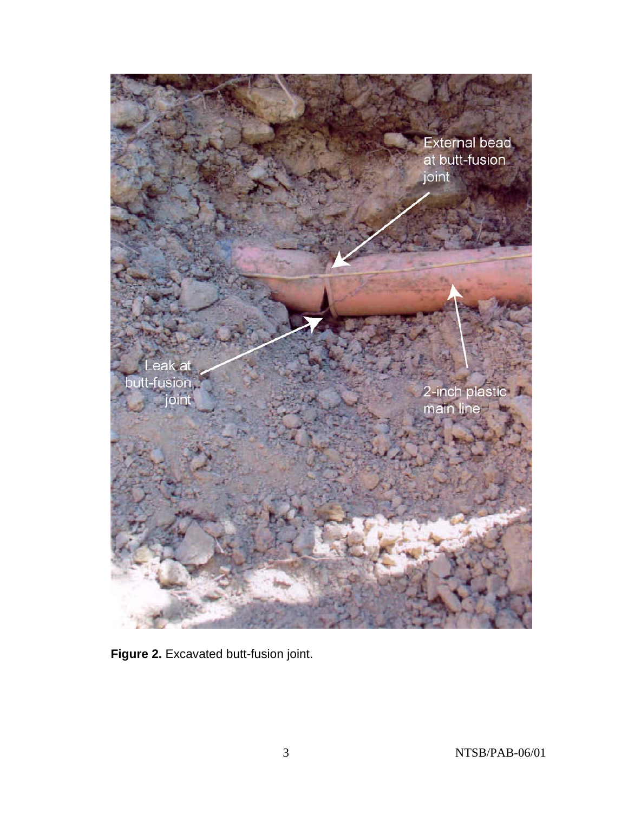

**Figure 2.** Excavated butt-fusion joint.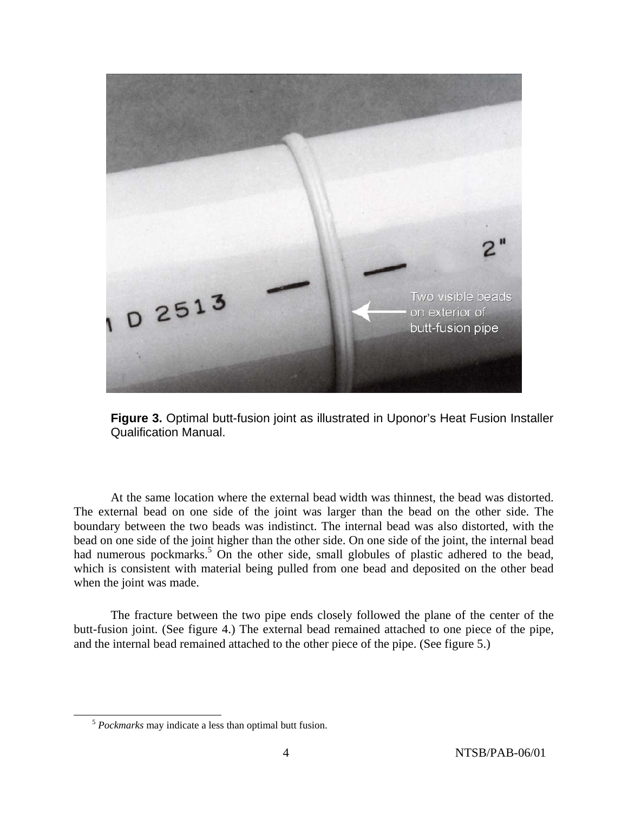

**Figure 3.** Optimal butt-fusion joint as illustrated in Uponor's Heat Fusion Installer Qualification Manual.

At the same location where the external bead width was thinnest, the bead was distorted. The external bead on one side of the joint was larger than the bead on the other side. The boundary between the two beads was indistinct. The internal bead was also distorted, with the bead on one side of the joint higher than the other side. On one side of the joint, the internal bead had numerous pockmarks.<sup>5</sup> On the other side, small globules of plastic adhered to the bead, which is consistent with material being pulled from one bead and deposited on the other bead when the joint was made.

The fracture between the two pipe ends closely followed the plane of the center of the butt-fusion joint. (See figure 4.) The external bead remained attached to one piece of the pipe, and the internal bead remained attached to the other piece of the pipe. (See figure 5.)

 <sup>5</sup> *Pockmarks* may indicate a less than optimal butt fusion.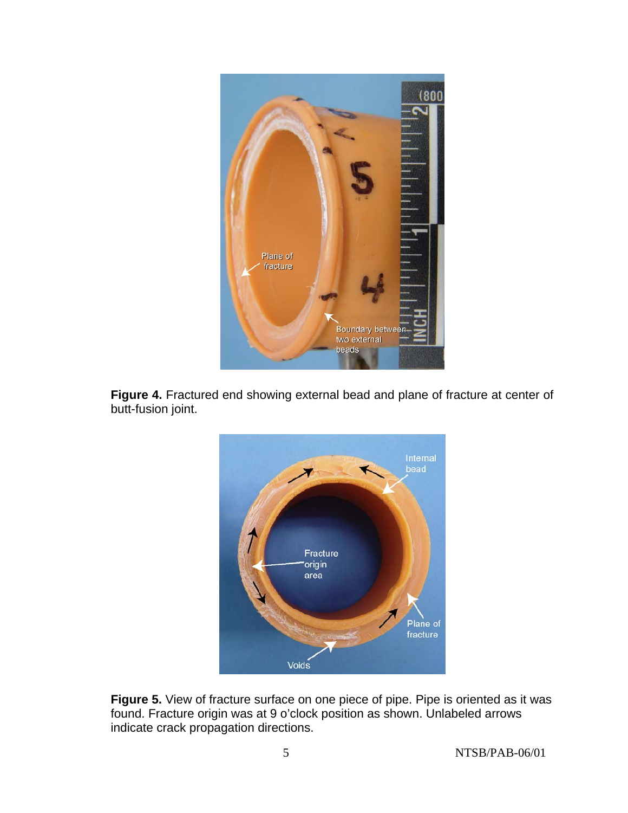





**Figure 5.** View of fracture surface on one piece of pipe. Pipe is oriented as it was found. Fracture origin was at 9 o'clock position as shown. Unlabeled arrows indicate crack propagation directions.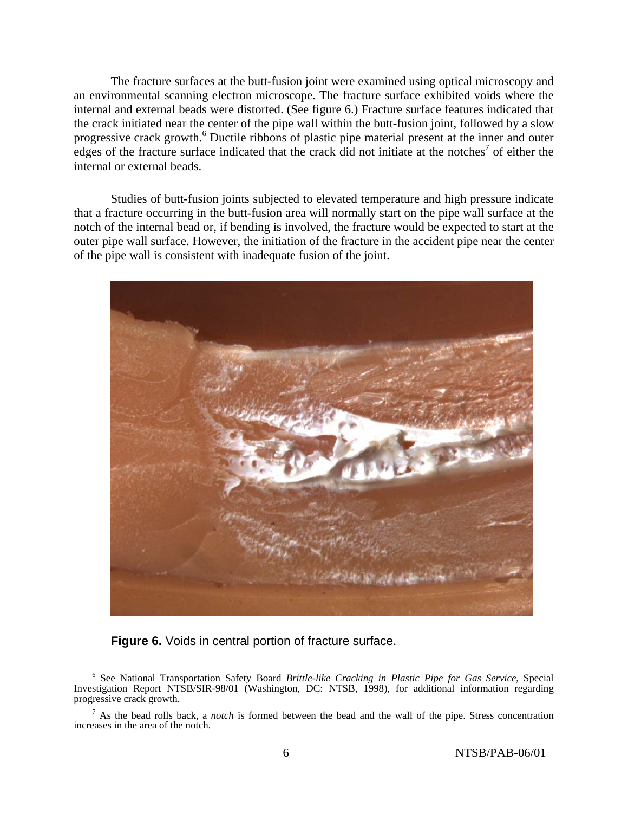The fracture surfaces at the butt-fusion joint were examined using optical microscopy and an environmental scanning electron microscope. The fracture surface exhibited voids where the internal and external beads were distorted. (See figure 6.) Fracture surface features indicated that the crack initiated near the center of the pipe wall within the butt-fusion joint, followed by a slow progressive crack growth.<sup>6</sup> Ductile ribbons of plastic pipe material present at the inner and outer edges of the fracture surface indicated that the crack did not initiate at the notches<sup>7</sup> of either the internal or external beads.

Studies of butt-fusion joints subjected to elevated temperature and high pressure indicate that a fracture occurring in the butt-fusion area will normally start on the pipe wall surface at the notch of the internal bead or, if bending is involved, the fracture would be expected to start at the outer pipe wall surface. However, the initiation of the fracture in the accident pipe near the center of the pipe wall is consistent with inadequate fusion of the joint.



### **Figure 6.** Voids in central portion of fracture surface.

 <sup>6</sup> See National Transportation Safety Board *Brittle-like Cracking in Plastic Pipe for Gas Service*, Special Investigation Report NTSB/SIR-98/01 (Washington, DC: NTSB, 1998), for additional information regarding progressive crack growth.

<sup>7</sup> As the bead rolls back, a *notch* is formed between the bead and the wall of the pipe. Stress concentration increases in the area of the notch.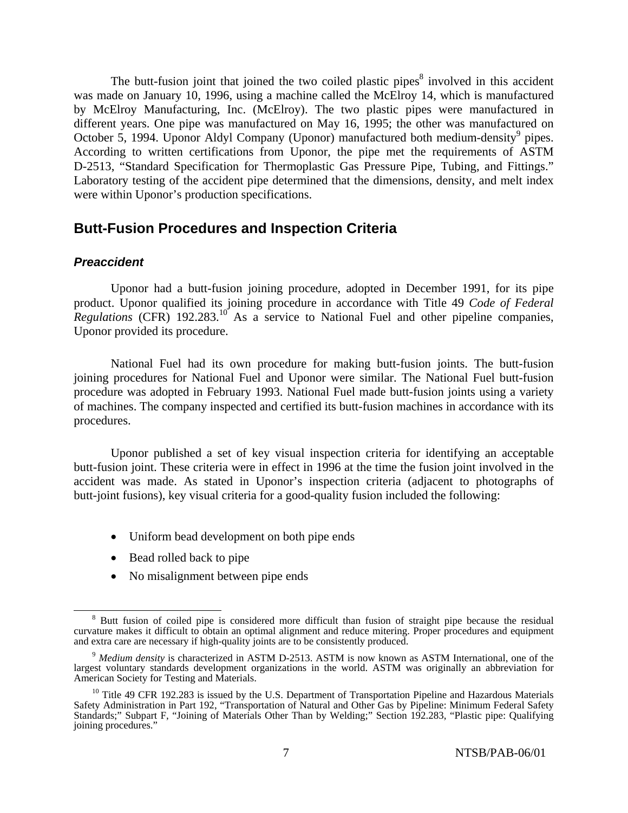The butt-fusion joint that joined the two coiled plastic pipes $\delta$  involved in this accident was made on January 10, 1996, using a machine called the McElroy 14, which is manufactured by McElroy Manufacturing, Inc. (McElroy). The two plastic pipes were manufactured in different years. One pipe was manufactured on May 16, 1995; the other was manufactured on October 5, 1994. Uponor Aldyl Company (Uponor) manufactured both medium-density<sup>9</sup> pipes. According to written certifications from Uponor, the pipe met the requirements of ASTM D-2513, "Standard Specification for Thermoplastic Gas Pressure Pipe, Tubing, and Fittings." Laboratory testing of the accident pipe determined that the dimensions, density, and melt index were within Uponor's production specifications.

## **Butt-Fusion Procedures and Inspection Criteria**

### *Preaccident*

Uponor had a butt-fusion joining procedure, adopted in December 1991, for its pipe product. Uponor qualified its joining procedure in accordance with Title 49 *Code of Federal Regulations* (CFR) 192.283.10 As a service to National Fuel and other pipeline companies, Uponor provided its procedure.

National Fuel had its own procedure for making butt-fusion joints. The butt-fusion joining procedures for National Fuel and Uponor were similar. The National Fuel butt-fusion procedure was adopted in February 1993. National Fuel made butt-fusion joints using a variety of machines. The company inspected and certified its butt-fusion machines in accordance with its procedures.

Uponor published a set of key visual inspection criteria for identifying an acceptable butt-fusion joint. These criteria were in effect in 1996 at the time the fusion joint involved in the accident was made. As stated in Uponor's inspection criteria (adjacent to photographs of butt-joint fusions), key visual criteria for a good-quality fusion included the following:

- Uniform bead development on both pipe ends
- Bead rolled back to pipe
- No misalignment between pipe ends

 $\frac{1}{8}$ <sup>8</sup> Butt fusion of coiled pipe is considered more difficult than fusion of straight pipe because the residual curvature makes it difficult to obtain an optimal alignment and reduce mitering. Proper procedures and equipment and extra care are necessary if high-quality joints are to be consistently produced.

<sup>9</sup> *Medium density* is characterized in ASTM D-2513. ASTM is now known as ASTM International, one of the largest voluntary standards development organizations in the world. ASTM was originally an abbreviation for American Society for Testing and Materials.

 $10$  Title 49 CFR 192.283 is issued by the U.S. Department of Transportation Pipeline and Hazardous Materials Safety Administration in Part 192, "Transportation of Natural and Other Gas by Pipeline: Minimum Federal Safety Standards;" Subpart F, "Joining of Materials Other Than by Welding;" Section 192.283, "Plastic pipe: Qualifying joining procedures.'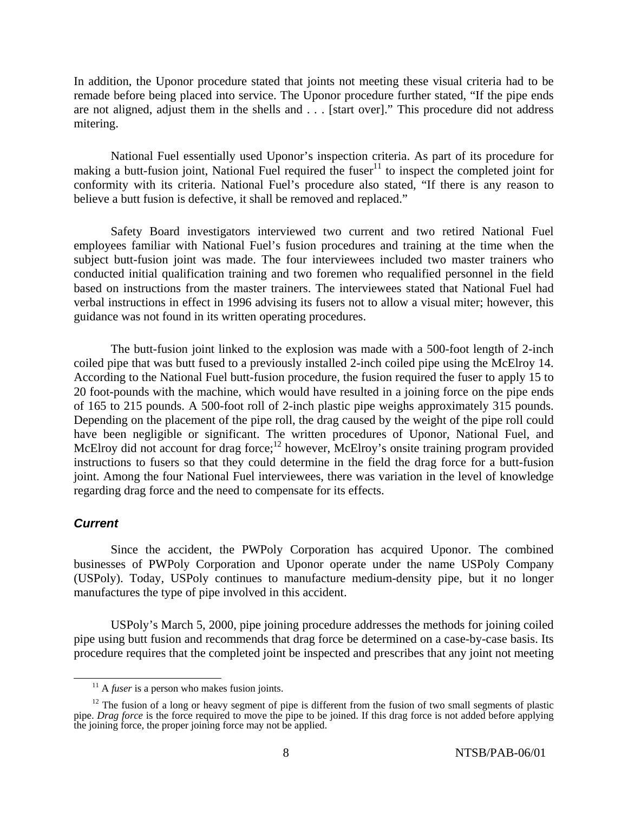In addition, the Uponor procedure stated that joints not meeting these visual criteria had to be remade before being placed into service. The Uponor procedure further stated, "If the pipe ends are not aligned, adjust them in the shells and . . . [start over]." This procedure did not address mitering.

National Fuel essentially used Uponor's inspection criteria. As part of its procedure for making a butt-fusion joint, National Fuel required the fuser<sup>11</sup> to inspect the completed joint for conformity with its criteria. National Fuel's procedure also stated, "If there is any reason to believe a butt fusion is defective, it shall be removed and replaced."

Safety Board investigators interviewed two current and two retired National Fuel employees familiar with National Fuel's fusion procedures and training at the time when the subject butt-fusion joint was made. The four interviewees included two master trainers who conducted initial qualification training and two foremen who requalified personnel in the field based on instructions from the master trainers. The interviewees stated that National Fuel had verbal instructions in effect in 1996 advising its fusers not to allow a visual miter; however, this guidance was not found in its written operating procedures.

The butt-fusion joint linked to the explosion was made with a 500-foot length of 2-inch coiled pipe that was butt fused to a previously installed 2-inch coiled pipe using the McElroy 14. According to the National Fuel butt-fusion procedure, the fusion required the fuser to apply 15 to 20 foot-pounds with the machine, which would have resulted in a joining force on the pipe ends of 165 to 215 pounds. A 500-foot roll of 2-inch plastic pipe weighs approximately 315 pounds. Depending on the placement of the pipe roll, the drag caused by the weight of the pipe roll could have been negligible or significant. The written procedures of Uponor, National Fuel, and McElroy did not account for drag force;<sup>12</sup> however, McElroy's onsite training program provided instructions to fusers so that they could determine in the field the drag force for a butt-fusion joint. Among the four National Fuel interviewees, there was variation in the level of knowledge regarding drag force and the need to compensate for its effects.

#### *Current*

Since the accident, the PWPoly Corporation has acquired Uponor. The combined businesses of PWPoly Corporation and Uponor operate under the name USPoly Company (USPoly). Today, USPoly continues to manufacture medium-density pipe, but it no longer manufactures the type of pipe involved in this accident.

USPoly's March 5, 2000, pipe joining procedure addresses the methods for joining coiled pipe using butt fusion and recommends that drag force be determined on a case-by-case basis. Its procedure requires that the completed joint be inspected and prescribes that any joint not meeting

<sup>&</sup>lt;sup>11</sup> A *fuser* is a person who makes fusion joints.

<sup>&</sup>lt;sup>12</sup> The fusion of a long or heavy segment of pipe is different from the fusion of two small segments of plastic pipe. *Drag force* is the force required to move the pipe to be joined. If this drag force is not added before applying the joining force, the proper joining force may not be applied.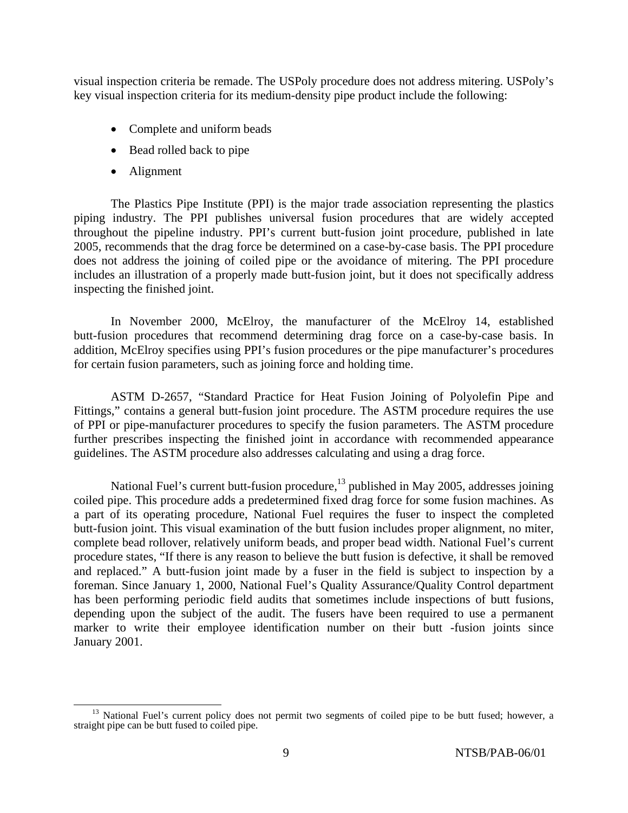visual inspection criteria be remade. The USPoly procedure does not address mitering. USPoly's key visual inspection criteria for its medium-density pipe product include the following:

- Complete and uniform beads
- Bead rolled back to pipe
- Alignment

The Plastics Pipe Institute (PPI) is the major trade association representing the plastics piping industry. The PPI publishes universal fusion procedures that are widely accepted throughout the pipeline industry. PPI's current butt-fusion joint procedure, published in late 2005, recommends that the drag force be determined on a case-by-case basis. The PPI procedure does not address the joining of coiled pipe or the avoidance of mitering. The PPI procedure includes an illustration of a properly made butt-fusion joint, but it does not specifically address inspecting the finished joint.

In November 2000, McElroy, the manufacturer of the McElroy 14, established butt-fusion procedures that recommend determining drag force on a case-by-case basis. In addition, McElroy specifies using PPI's fusion procedures or the pipe manufacturer's procedures for certain fusion parameters, such as joining force and holding time.

ASTM D-2657, "Standard Practice for Heat Fusion Joining of Polyolefin Pipe and Fittings," contains a general butt-fusion joint procedure. The ASTM procedure requires the use of PPI or pipe-manufacturer procedures to specify the fusion parameters. The ASTM procedure further prescribes inspecting the finished joint in accordance with recommended appearance guidelines. The ASTM procedure also addresses calculating and using a drag force.

National Fuel's current butt-fusion procedure, $^{13}$  published in May 2005, addresses joining coiled pipe. This procedure adds a predetermined fixed drag force for some fusion machines. As a part of its operating procedure, National Fuel requires the fuser to inspect the completed butt-fusion joint. This visual examination of the butt fusion includes proper alignment, no miter, complete bead rollover, relatively uniform beads, and proper bead width. National Fuel's current procedure states, "If there is any reason to believe the butt fusion is defective, it shall be removed and replaced." A butt-fusion joint made by a fuser in the field is subject to inspection by a foreman. Since January 1, 2000, National Fuel's Quality Assurance/Quality Control department has been performing periodic field audits that sometimes include inspections of butt fusions, depending upon the subject of the audit. The fusers have been required to use a permanent marker to write their employee identification number on their butt -fusion joints since January 2001.

<sup>&</sup>lt;sup>13</sup> National Fuel's current policy does not permit two segments of coiled pipe to be butt fused; however, a straight pipe can be butt fused to coiled pipe.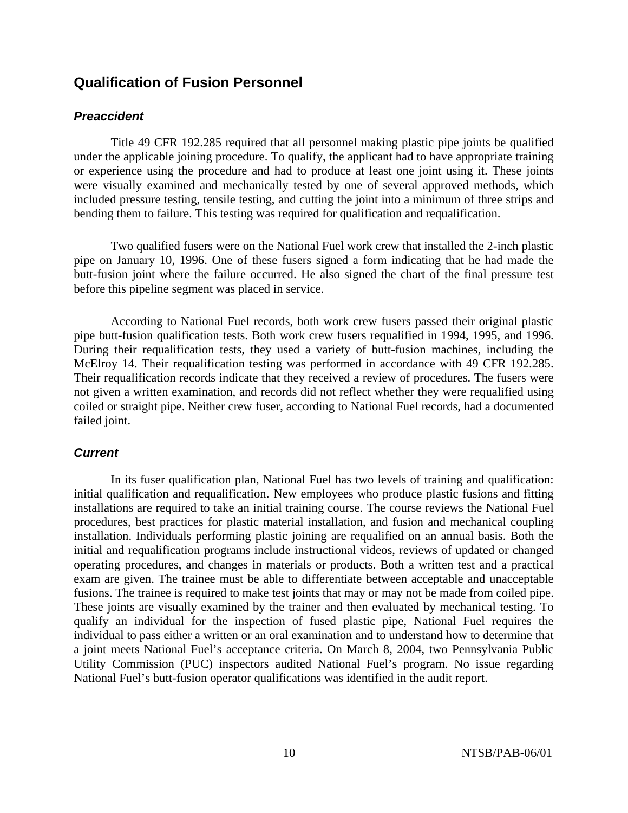## **Qualification of Fusion Personnel**

### *Preaccident*

Title 49 CFR 192.285 required that all personnel making plastic pipe joints be qualified under the applicable joining procedure. To qualify, the applicant had to have appropriate training or experience using the procedure and had to produce at least one joint using it. These joints were visually examined and mechanically tested by one of several approved methods, which included pressure testing, tensile testing, and cutting the joint into a minimum of three strips and bending them to failure. This testing was required for qualification and requalification.

Two qualified fusers were on the National Fuel work crew that installed the 2-inch plastic pipe on January 10, 1996. One of these fusers signed a form indicating that he had made the butt-fusion joint where the failure occurred. He also signed the chart of the final pressure test before this pipeline segment was placed in service.

According to National Fuel records, both work crew fusers passed their original plastic pipe butt-fusion qualification tests. Both work crew fusers requalified in 1994, 1995, and 1996. During their requalification tests, they used a variety of butt-fusion machines, including the McElroy 14. Their requalification testing was performed in accordance with 49 CFR 192.285. Their requalification records indicate that they received a review of procedures. The fusers were not given a written examination, and records did not reflect whether they were requalified using coiled or straight pipe. Neither crew fuser, according to National Fuel records, had a documented failed joint.

### *Current*

In its fuser qualification plan, National Fuel has two levels of training and qualification: initial qualification and requalification. New employees who produce plastic fusions and fitting installations are required to take an initial training course. The course reviews the National Fuel procedures, best practices for plastic material installation, and fusion and mechanical coupling installation. Individuals performing plastic joining are requalified on an annual basis. Both the initial and requalification programs include instructional videos, reviews of updated or changed operating procedures, and changes in materials or products. Both a written test and a practical exam are given. The trainee must be able to differentiate between acceptable and unacceptable fusions. The trainee is required to make test joints that may or may not be made from coiled pipe. These joints are visually examined by the trainer and then evaluated by mechanical testing. To qualify an individual for the inspection of fused plastic pipe, National Fuel requires the individual to pass either a written or an oral examination and to understand how to determine that a joint meets National Fuel's acceptance criteria. On March 8, 2004, two Pennsylvania Public Utility Commission (PUC) inspectors audited National Fuel's program. No issue regarding National Fuel's butt-fusion operator qualifications was identified in the audit report.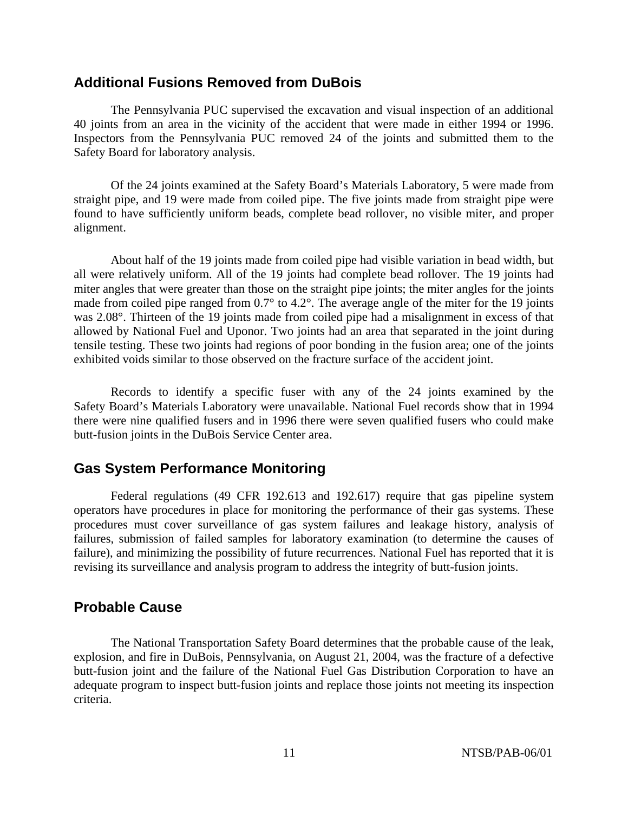### **Additional Fusions Removed from DuBois**

The Pennsylvania PUC supervised the excavation and visual inspection of an additional 40 joints from an area in the vicinity of the accident that were made in either 1994 or 1996. Inspectors from the Pennsylvania PUC removed 24 of the joints and submitted them to the Safety Board for laboratory analysis.

Of the 24 joints examined at the Safety Board's Materials Laboratory, 5 were made from straight pipe, and 19 were made from coiled pipe. The five joints made from straight pipe were found to have sufficiently uniform beads, complete bead rollover, no visible miter, and proper alignment.

About half of the 19 joints made from coiled pipe had visible variation in bead width, but all were relatively uniform. All of the 19 joints had complete bead rollover. The 19 joints had miter angles that were greater than those on the straight pipe joints; the miter angles for the joints made from coiled pipe ranged from 0.7° to 4.2°. The average angle of the miter for the 19 joints was 2.08°. Thirteen of the 19 joints made from coiled pipe had a misalignment in excess of that allowed by National Fuel and Uponor. Two joints had an area that separated in the joint during tensile testing. These two joints had regions of poor bonding in the fusion area; one of the joints exhibited voids similar to those observed on the fracture surface of the accident joint.

Records to identify a specific fuser with any of the 24 joints examined by the Safety Board's Materials Laboratory were unavailable. National Fuel records show that in 1994 there were nine qualified fusers and in 1996 there were seven qualified fusers who could make butt-fusion joints in the DuBois Service Center area.

## **Gas System Performance Monitoring**

Federal regulations (49 CFR 192.613 and 192.617) require that gas pipeline system operators have procedures in place for monitoring the performance of their gas systems. These procedures must cover surveillance of gas system failures and leakage history, analysis of failures, submission of failed samples for laboratory examination (to determine the causes of failure), and minimizing the possibility of future recurrences. National Fuel has reported that it is revising its surveillance and analysis program to address the integrity of butt-fusion joints.

### **Probable Cause**

The National Transportation Safety Board determines that the probable cause of the leak, explosion, and fire in DuBois, Pennsylvania, on August 21, 2004, was the fracture of a defective butt-fusion joint and the failure of the National Fuel Gas Distribution Corporation to have an adequate program to inspect butt-fusion joints and replace those joints not meeting its inspection criteria.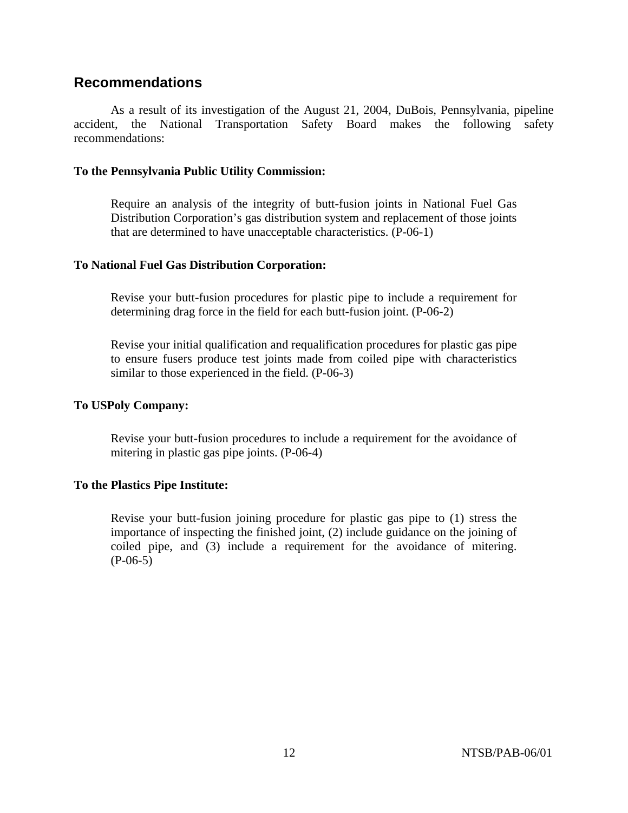## **Recommendations**

As a result of its investigation of the August 21, 2004, DuBois, Pennsylvania, pipeline accident, the National Transportation Safety Board makes the following safety recommendations:

### **To the Pennsylvania Public Utility Commission:**

Require an analysis of the integrity of butt-fusion joints in National Fuel Gas Distribution Corporation's gas distribution system and replacement of those joints that are determined to have unacceptable characteristics. (P-06-1)

### **To National Fuel Gas Distribution Corporation:**

Revise your butt-fusion procedures for plastic pipe to include a requirement for determining drag force in the field for each butt-fusion joint. (P-06-2)

Revise your initial qualification and requalification procedures for plastic gas pipe to ensure fusers produce test joints made from coiled pipe with characteristics similar to those experienced in the field. (P-06-3)

### **To USPoly Company:**

Revise your butt-fusion procedures to include a requirement for the avoidance of mitering in plastic gas pipe joints. (P-06-4)

### **To the Plastics Pipe Institute:**

Revise your butt-fusion joining procedure for plastic gas pipe to (1) stress the importance of inspecting the finished joint, (2) include guidance on the joining of coiled pipe, and (3) include a requirement for the avoidance of mitering. (P-06-5)